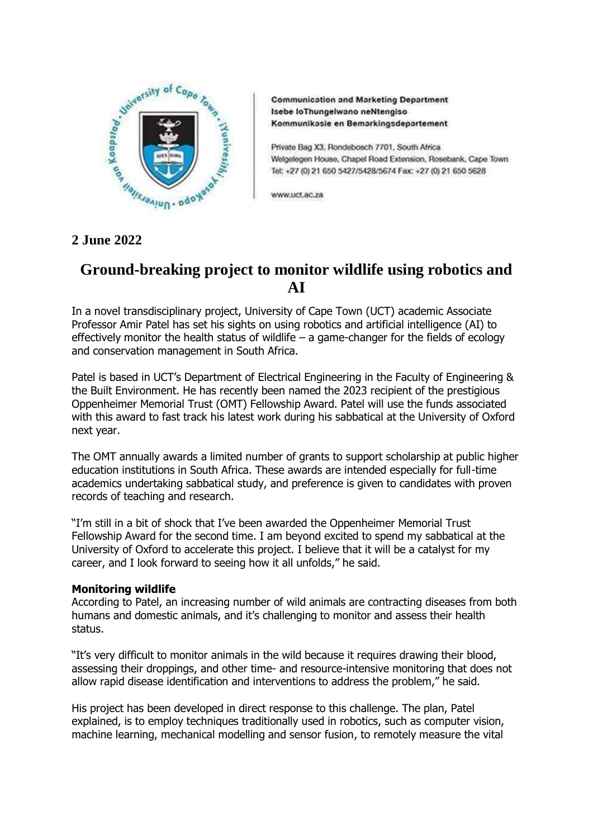

**Communication and Marketing Department** Isebe loThungelwano neNtengiso Kommunikasie en Bemarkingsdepartement

Private Bag X3, Rondebosch 7701, South Africa Welgelegen House, Chapel Road Extension, Rosebank, Cape Town Tel: +27 (0) 21 650 5427/5428/5674 Fax: +27 (0) 21 650 5628

www.uct.ac.za

# **Ground-breaking project to monitor wildlife using robotics and AI**

In a novel transdisciplinary project, University of Cape Town (UCT) academic Associate Professor Amir Patel has set his sights on using robotics and artificial intelligence (AI) to effectively monitor the health status of wildlife  $-$  a game-changer for the fields of ecology and conservation management in South Africa.

Patel is based in UCT's Department of Electrical Engineering in the Faculty of Engineering & the Built Environment. He has recently been named the 2023 recipient of the prestigious Oppenheimer Memorial Trust (OMT) Fellowship Award. Patel will use the funds associated with this award to fast track his latest work during his sabbatical at the University of Oxford next year.

The OMT annually awards a limited number of grants to support scholarship at public higher education institutions in South Africa. These awards are intended especially for full-time academics undertaking sabbatical study, and preference is given to candidates with proven records of teaching and research.

"I'm still in a bit of shock that I've been awarded the Oppenheimer Memorial Trust Fellowship Award for the second time. I am beyond excited to spend my sabbatical at the University of Oxford to accelerate this project. I believe that it will be a catalyst for my career, and I look forward to seeing how it all unfolds," he said.

## **Monitoring wildlife**

According to Patel, an increasing number of wild animals are contracting diseases from both humans and domestic animals, and it's challenging to monitor and assess their health status.

"It's very difficult to monitor animals in the wild because it requires drawing their blood, assessing their droppings, and other time- and resource-intensive monitoring that does not allow rapid disease identification and interventions to address the problem," he said.

His project has been developed in direct response to this challenge. The plan, Patel explained, is to employ techniques traditionally used in robotics, such as computer vision, machine learning, mechanical modelling and sensor fusion, to remotely measure the vital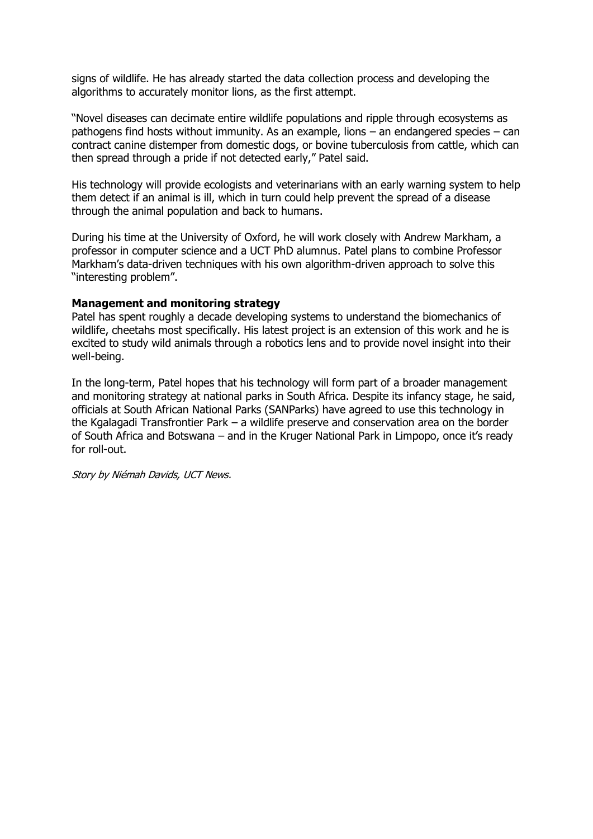signs of wildlife. He has already started the data collection process and developing the algorithms to accurately monitor lions, as the first attempt.

"Novel diseases can decimate entire wildlife populations and ripple through ecosystems as pathogens find hosts without immunity. As an example, lions – an endangered species – can contract canine distemper from domestic dogs, or bovine tuberculosis from cattle, which can then spread through a pride if not detected early," Patel said.

His technology will provide ecologists and veterinarians with an early warning system to help them detect if an animal is ill, which in turn could help prevent the spread of a disease through the animal population and back to humans.

During his time at the University of Oxford, he will work closely with Andrew Markham, a professor in computer science and a UCT PhD alumnus. Patel plans to combine Professor Markham's data-driven techniques with his own algorithm-driven approach to solve this "interesting problem".

### **Management and monitoring strategy**

Patel has spent roughly a decade developing systems to understand the biomechanics of wildlife, cheetahs most specifically. His latest project is an extension of this work and he is excited to study wild animals through a robotics lens and to provide novel insight into their well-being.

In the long-term, Patel hopes that his technology will form part of a broader management and monitoring strategy at national parks in South Africa. Despite its infancy stage, he said, officials at South African National Parks (SANParks) have agreed to use this technology in the Kgalagadi Transfrontier Park – a wildlife preserve and conservation area on the border of South Africa and Botswana – and in the Kruger National Park in Limpopo, once it's ready for roll-out.

Story by Niémah Davids, UCT News.